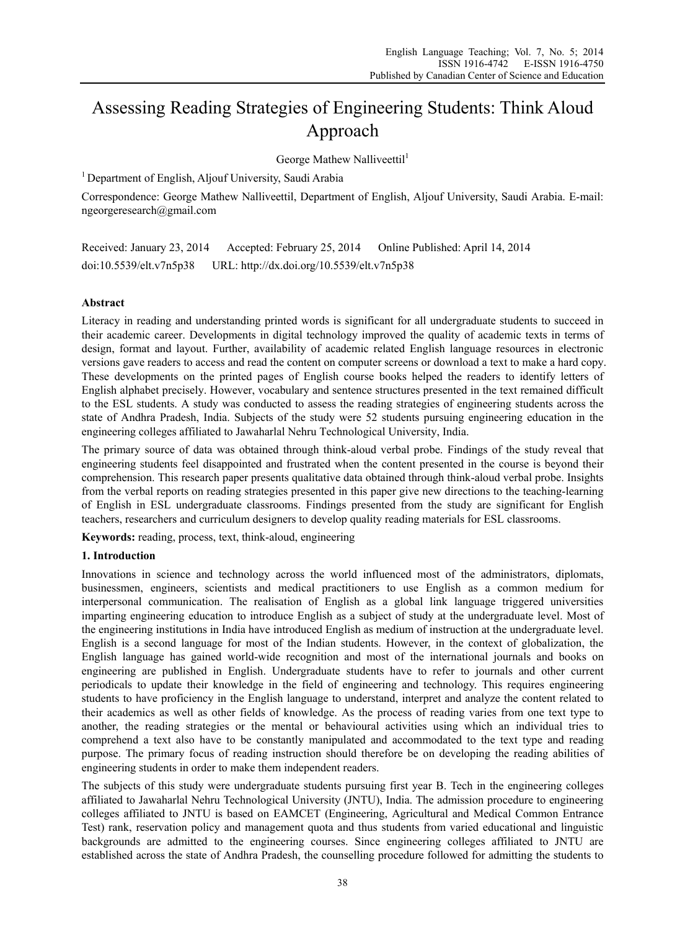# Assessing Reading Strategies of Engineering Students: Think Aloud Approach

George Mathew Nalliveettil<sup>1</sup>

<sup>1</sup> Department of English, Aljouf University, Saudi Arabia

Correspondence: George Mathew Nalliveettil, Department of English, Aljouf University, Saudi Arabia. E-mail: ngeorgeresearch@gmail.com

Received: January 23, 2014 Accepted: February 25, 2014 Online Published: April 14, 2014 doi:10.5539/elt.v7n5p38 URL: http://dx.doi.org/10.5539/elt.v7n5p38

# **Abstract**

Literacy in reading and understanding printed words is significant for all undergraduate students to succeed in their academic career. Developments in digital technology improved the quality of academic texts in terms of design, format and layout. Further, availability of academic related English language resources in electronic versions gave readers to access and read the content on computer screens or download a text to make a hard copy. These developments on the printed pages of English course books helped the readers to identify letters of English alphabet precisely. However, vocabulary and sentence structures presented in the text remained difficult to the ESL students. A study was conducted to assess the reading strategies of engineering students across the state of Andhra Pradesh, India. Subjects of the study were 52 students pursuing engineering education in the engineering colleges affiliated to Jawaharlal Nehru Technological University, India.

The primary source of data was obtained through think-aloud verbal probe. Findings of the study reveal that engineering students feel disappointed and frustrated when the content presented in the course is beyond their comprehension. This research paper presents qualitative data obtained through think-aloud verbal probe. Insights from the verbal reports on reading strategies presented in this paper give new directions to the teaching-learning of English in ESL undergraduate classrooms. Findings presented from the study are significant for English teachers, researchers and curriculum designers to develop quality reading materials for ESL classrooms.

**Keywords:** reading, process, text, think-aloud, engineering

# **1. Introduction**

Innovations in science and technology across the world influenced most of the administrators, diplomats, businessmen, engineers, scientists and medical practitioners to use English as a common medium for interpersonal communication. The realisation of English as a global link language triggered universities imparting engineering education to introduce English as a subject of study at the undergraduate level. Most of the engineering institutions in India have introduced English as medium of instruction at the undergraduate level. English is a second language for most of the Indian students. However, in the context of globalization, the English language has gained world-wide recognition and most of the international journals and books on engineering are published in English. Undergraduate students have to refer to journals and other current periodicals to update their knowledge in the field of engineering and technology. This requires engineering students to have proficiency in the English language to understand, interpret and analyze the content related to their academics as well as other fields of knowledge. As the process of reading varies from one text type to another, the reading strategies or the mental or behavioural activities using which an individual tries to comprehend a text also have to be constantly manipulated and accommodated to the text type and reading purpose. The primary focus of reading instruction should therefore be on developing the reading abilities of engineering students in order to make them independent readers.

The subjects of this study were undergraduate students pursuing first year B. Tech in the engineering colleges affiliated to Jawaharlal Nehru Technological University (JNTU), India. The admission procedure to engineering colleges affiliated to JNTU is based on EAMCET (Engineering, Agricultural and Medical Common Entrance Test) rank, reservation policy and management quota and thus students from varied educational and linguistic backgrounds are admitted to the engineering courses. Since engineering colleges affiliated to JNTU are established across the state of Andhra Pradesh, the counselling procedure followed for admitting the students to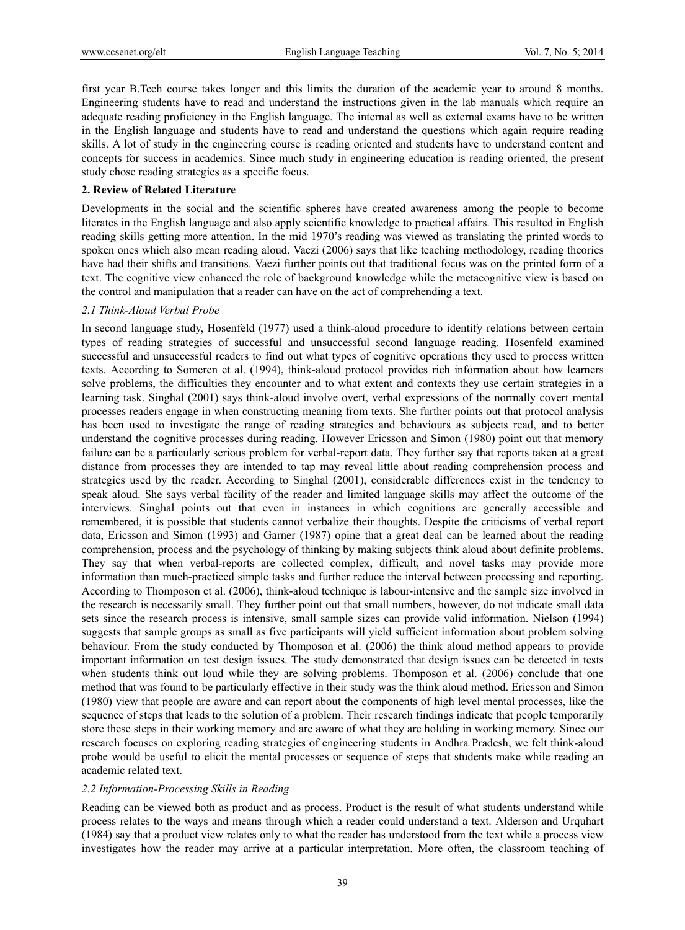first year B.Tech course takes longer and this limits the duration of the academic year to around 8 months. Engineering students have to read and understand the instructions given in the lab manuals which require an adequate reading proficiency in the English language. The internal as well as external exams have to be written in the English language and students have to read and understand the questions which again require reading skills. A lot of study in the engineering course is reading oriented and students have to understand content and concepts for success in academics. Since much study in engineering education is reading oriented, the present study chose reading strategies as a specific focus.

#### **2. Review of Related Literature**

Developments in the social and the scientific spheres have created awareness among the people to become literates in the English language and also apply scientific knowledge to practical affairs. This resulted in English reading skills getting more attention. In the mid 1970's reading was viewed as translating the printed words to spoken ones which also mean reading aloud. Vaezi (2006) says that like teaching methodology, reading theories have had their shifts and transitions. Vaezi further points out that traditional focus was on the printed form of a text. The cognitive view enhanced the role of background knowledge while the metacognitive view is based on the control and manipulation that a reader can have on the act of comprehending a text.

# *2.1 Think-Aloud Verbal Probe*

In second language study, Hosenfeld (1977) used a think-aloud procedure to identify relations between certain types of reading strategies of successful and unsuccessful second language reading. Hosenfeld examined successful and unsuccessful readers to find out what types of cognitive operations they used to process written texts. According to Someren et al. (1994), think-aloud protocol provides rich information about how learners solve problems, the difficulties they encounter and to what extent and contexts they use certain strategies in a learning task. Singhal (2001) says think-aloud involve overt, verbal expressions of the normally covert mental processes readers engage in when constructing meaning from texts. She further points out that protocol analysis has been used to investigate the range of reading strategies and behaviours as subjects read, and to better understand the cognitive processes during reading. However Ericsson and Simon (1980) point out that memory failure can be a particularly serious problem for verbal-report data. They further say that reports taken at a great distance from processes they are intended to tap may reveal little about reading comprehension process and strategies used by the reader. According to Singhal (2001), considerable differences exist in the tendency to speak aloud. She says verbal facility of the reader and limited language skills may affect the outcome of the interviews. Singhal points out that even in instances in which cognitions are generally accessible and remembered, it is possible that students cannot verbalize their thoughts. Despite the criticisms of verbal report data, Ericsson and Simon (1993) and Garner (1987) opine that a great deal can be learned about the reading comprehension, process and the psychology of thinking by making subjects think aloud about definite problems. They say that when verbal-reports are collected complex, difficult, and novel tasks may provide more information than much-practiced simple tasks and further reduce the interval between processing and reporting. According to Thomposon et al. (2006), think-aloud technique is labour-intensive and the sample size involved in the research is necessarily small. They further point out that small numbers, however, do not indicate small data sets since the research process is intensive, small sample sizes can provide valid information. Nielson (1994) suggests that sample groups as small as five participants will yield sufficient information about problem solving behaviour. From the study conducted by Thomposon et al. (2006) the think aloud method appears to provide important information on test design issues. The study demonstrated that design issues can be detected in tests when students think out loud while they are solving problems. Thomposon et al. (2006) conclude that one method that was found to be particularly effective in their study was the think aloud method. Ericsson and Simon (1980) view that people are aware and can report about the components of high level mental processes, like the sequence of steps that leads to the solution of a problem. Their research findings indicate that people temporarily store these steps in their working memory and are aware of what they are holding in working memory. Since our research focuses on exploring reading strategies of engineering students in Andhra Pradesh, we felt think-aloud probe would be useful to elicit the mental processes or sequence of steps that students make while reading an academic related text.

# *2.2 Information-Processing Skills in Reading*

Reading can be viewed both as product and as process. Product is the result of what students understand while process relates to the ways and means through which a reader could understand a text. Alderson and Urquhart (1984) say that a product view relates only to what the reader has understood from the text while a process view investigates how the reader may arrive at a particular interpretation. More often, the classroom teaching of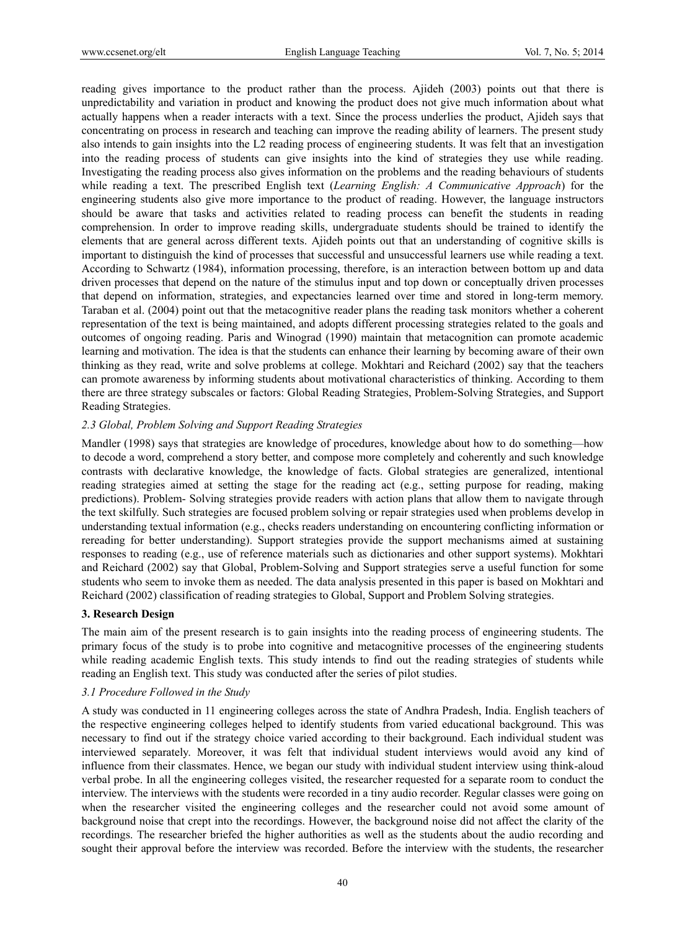reading gives importance to the product rather than the process. Ajideh (2003) points out that there is unpredictability and variation in product and knowing the product does not give much information about what actually happens when a reader interacts with a text. Since the process underlies the product, Ajideh says that concentrating on process in research and teaching can improve the reading ability of learners. The present study also intends to gain insights into the L2 reading process of engineering students. It was felt that an investigation into the reading process of students can give insights into the kind of strategies they use while reading. Investigating the reading process also gives information on the problems and the reading behaviours of students while reading a text. The prescribed English text (*Learning English: A Communicative Approach*) for the engineering students also give more importance to the product of reading. However, the language instructors should be aware that tasks and activities related to reading process can benefit the students in reading comprehension. In order to improve reading skills, undergraduate students should be trained to identify the elements that are general across different texts. Ajideh points out that an understanding of cognitive skills is important to distinguish the kind of processes that successful and unsuccessful learners use while reading a text. According to Schwartz (1984), information processing, therefore, is an interaction between bottom up and data driven processes that depend on the nature of the stimulus input and top down or conceptually driven processes that depend on information, strategies, and expectancies learned over time and stored in long-term memory. Taraban et al. (2004) point out that the metacognitive reader plans the reading task monitors whether a coherent representation of the text is being maintained, and adopts different processing strategies related to the goals and outcomes of ongoing reading. Paris and Winograd (1990) maintain that metacognition can promote academic learning and motivation. The idea is that the students can enhance their learning by becoming aware of their own thinking as they read, write and solve problems at college. Mokhtari and Reichard (2002) say that the teachers can promote awareness by informing students about motivational characteristics of thinking. According to them there are three strategy subscales or factors: Global Reading Strategies, Problem-Solving Strategies, and Support Reading Strategies.

## *2.3 Global, Problem Solving and Support Reading Strategies*

Mandler (1998) says that strategies are knowledge of procedures, knowledge about how to do something—how to decode a word, comprehend a story better, and compose more completely and coherently and such knowledge contrasts with declarative knowledge, the knowledge of facts. Global strategies are generalized, intentional reading strategies aimed at setting the stage for the reading act (e.g., setting purpose for reading, making predictions). Problem- Solving strategies provide readers with action plans that allow them to navigate through the text skilfully. Such strategies are focused problem solving or repair strategies used when problems develop in understanding textual information (e.g., checks readers understanding on encountering conflicting information or rereading for better understanding). Support strategies provide the support mechanisms aimed at sustaining responses to reading (e.g., use of reference materials such as dictionaries and other support systems). Mokhtari and Reichard (2002) say that Global, Problem-Solving and Support strategies serve a useful function for some students who seem to invoke them as needed. The data analysis presented in this paper is based on Mokhtari and Reichard (2002) classification of reading strategies to Global, Support and Problem Solving strategies.

#### **3. Research Design**

The main aim of the present research is to gain insights into the reading process of engineering students. The primary focus of the study is to probe into cognitive and metacognitive processes of the engineering students while reading academic English texts. This study intends to find out the reading strategies of students while reading an English text. This study was conducted after the series of pilot studies.

#### *3.1 Procedure Followed in the Study*

A study was conducted in 11 engineering colleges across the state of Andhra Pradesh, India. English teachers of the respective engineering colleges helped to identify students from varied educational background. This was necessary to find out if the strategy choice varied according to their background. Each individual student was interviewed separately. Moreover, it was felt that individual student interviews would avoid any kind of influence from their classmates. Hence, we began our study with individual student interview using think-aloud verbal probe. In all the engineering colleges visited, the researcher requested for a separate room to conduct the interview. The interviews with the students were recorded in a tiny audio recorder. Regular classes were going on when the researcher visited the engineering colleges and the researcher could not avoid some amount of background noise that crept into the recordings. However, the background noise did not affect the clarity of the recordings. The researcher briefed the higher authorities as well as the students about the audio recording and sought their approval before the interview was recorded. Before the interview with the students, the researcher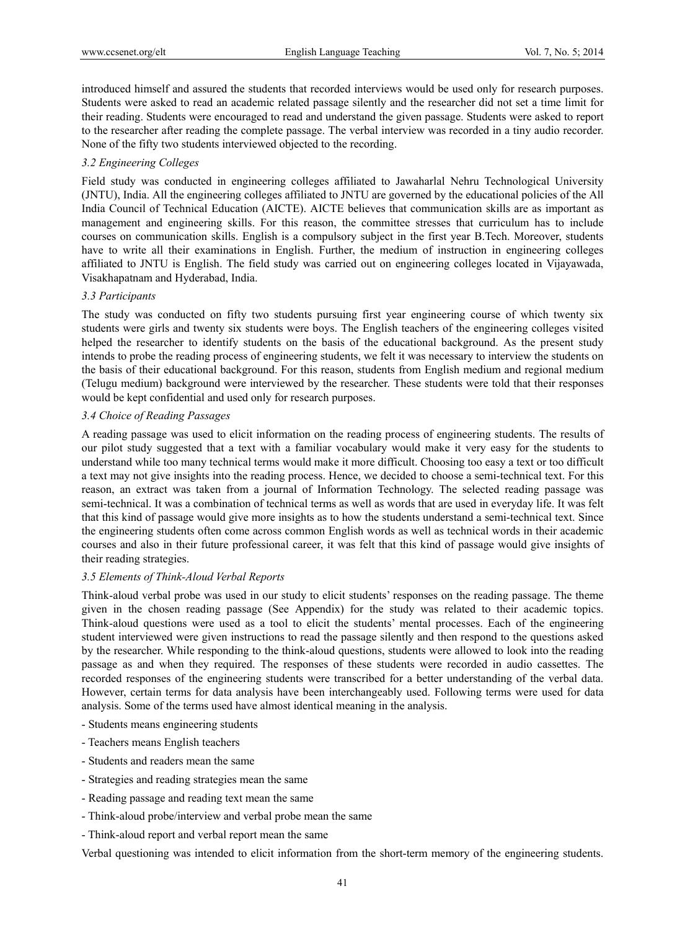introduced himself and assured the students that recorded interviews would be used only for research purposes. Students were asked to read an academic related passage silently and the researcher did not set a time limit for their reading. Students were encouraged to read and understand the given passage. Students were asked to report to the researcher after reading the complete passage. The verbal interview was recorded in a tiny audio recorder. None of the fifty two students interviewed objected to the recording.

# *3.2 Engineering Colleges*

Field study was conducted in engineering colleges affiliated to Jawaharlal Nehru Technological University (JNTU), India. All the engineering colleges affiliated to JNTU are governed by the educational policies of the All India Council of Technical Education (AICTE). AICTE believes that communication skills are as important as management and engineering skills. For this reason, the committee stresses that curriculum has to include courses on communication skills. English is a compulsory subject in the first year B.Tech. Moreover, students have to write all their examinations in English. Further, the medium of instruction in engineering colleges affiliated to JNTU is English. The field study was carried out on engineering colleges located in Vijayawada, Visakhapatnam and Hyderabad, India.

# *3.3 Participants*

The study was conducted on fifty two students pursuing first year engineering course of which twenty six students were girls and twenty six students were boys. The English teachers of the engineering colleges visited helped the researcher to identify students on the basis of the educational background. As the present study intends to probe the reading process of engineering students, we felt it was necessary to interview the students on the basis of their educational background. For this reason, students from English medium and regional medium (Telugu medium) background were interviewed by the researcher. These students were told that their responses would be kept confidential and used only for research purposes.

# *3.4 Choice of Reading Passages*

A reading passage was used to elicit information on the reading process of engineering students. The results of our pilot study suggested that a text with a familiar vocabulary would make it very easy for the students to understand while too many technical terms would make it more difficult. Choosing too easy a text or too difficult a text may not give insights into the reading process. Hence, we decided to choose a semi-technical text. For this reason, an extract was taken from a journal of Information Technology. The selected reading passage was semi-technical. It was a combination of technical terms as well as words that are used in everyday life. It was felt that this kind of passage would give more insights as to how the students understand a semi-technical text. Since the engineering students often come across common English words as well as technical words in their academic courses and also in their future professional career, it was felt that this kind of passage would give insights of their reading strategies.

# *3.5 Elements of Think-Aloud Verbal Reports*

Think-aloud verbal probe was used in our study to elicit students' responses on the reading passage. The theme given in the chosen reading passage (See Appendix) for the study was related to their academic topics. Think-aloud questions were used as a tool to elicit the students' mental processes. Each of the engineering student interviewed were given instructions to read the passage silently and then respond to the questions asked by the researcher. While responding to the think-aloud questions, students were allowed to look into the reading passage as and when they required. The responses of these students were recorded in audio cassettes. The recorded responses of the engineering students were transcribed for a better understanding of the verbal data. However, certain terms for data analysis have been interchangeably used. Following terms were used for data analysis. Some of the terms used have almost identical meaning in the analysis.

- Students means engineering students
- Teachers means English teachers
- Students and readers mean the same
- Strategies and reading strategies mean the same
- Reading passage and reading text mean the same
- Think-aloud probe/interview and verbal probe mean the same
- Think-aloud report and verbal report mean the same

Verbal questioning was intended to elicit information from the short-term memory of the engineering students.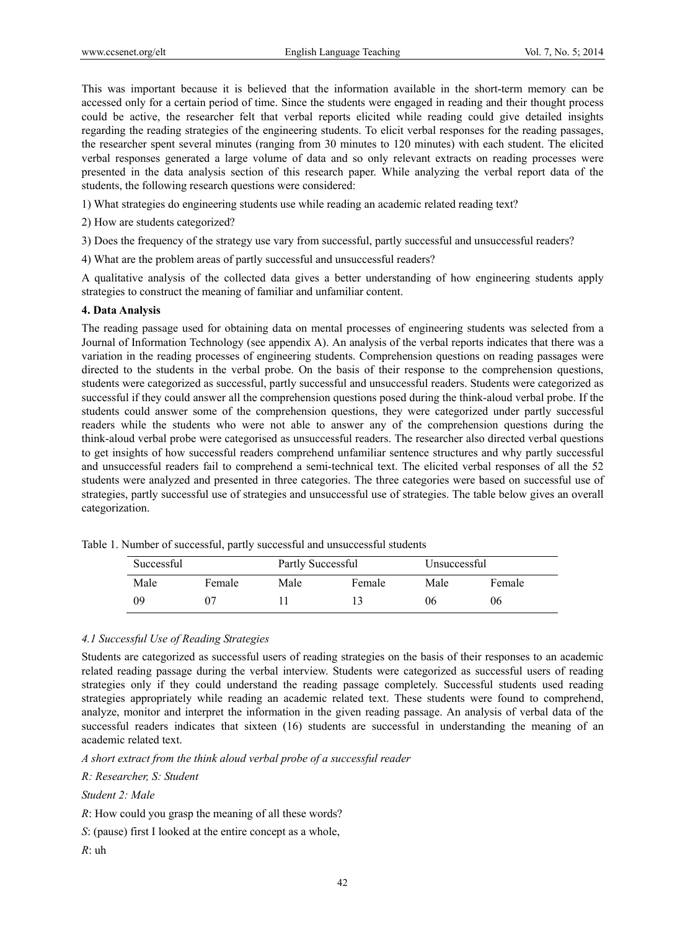This was important because it is believed that the information available in the short-term memory can be accessed only for a certain period of time. Since the students were engaged in reading and their thought process could be active, the researcher felt that verbal reports elicited while reading could give detailed insights regarding the reading strategies of the engineering students. To elicit verbal responses for the reading passages, the researcher spent several minutes (ranging from 30 minutes to 120 minutes) with each student. The elicited verbal responses generated a large volume of data and so only relevant extracts on reading processes were presented in the data analysis section of this research paper. While analyzing the verbal report data of the students, the following research questions were considered:

- 1) What strategies do engineering students use while reading an academic related reading text?
- 2) How are students categorized?
- 3) Does the frequency of the strategy use vary from successful, partly successful and unsuccessful readers?
- 4) What are the problem areas of partly successful and unsuccessful readers?

A qualitative analysis of the collected data gives a better understanding of how engineering students apply strategies to construct the meaning of familiar and unfamiliar content.

# **4. Data Analysis**

The reading passage used for obtaining data on mental processes of engineering students was selected from a Journal of Information Technology (see appendix A). An analysis of the verbal reports indicates that there was a variation in the reading processes of engineering students. Comprehension questions on reading passages were directed to the students in the verbal probe. On the basis of their response to the comprehension questions, students were categorized as successful, partly successful and unsuccessful readers. Students were categorized as successful if they could answer all the comprehension questions posed during the think-aloud verbal probe. If the students could answer some of the comprehension questions, they were categorized under partly successful readers while the students who were not able to answer any of the comprehension questions during the think-aloud verbal probe were categorised as unsuccessful readers. The researcher also directed verbal questions to get insights of how successful readers comprehend unfamiliar sentence structures and why partly successful and unsuccessful readers fail to comprehend a semi-technical text. The elicited verbal responses of all the 52 students were analyzed and presented in three categories. The three categories were based on successful use of strategies, partly successful use of strategies and unsuccessful use of strategies. The table below gives an overall categorization.

| Successful |        | Partly Successful |        | Unsuccessful |        |
|------------|--------|-------------------|--------|--------------|--------|
| Male       | Female | Male              | Female | Male         | Female |
| 09         |        |                   |        | 06           | 06     |

Table 1. Number of successful, partly successful and unsuccessful students

## *4.1 Successful Use of Reading Strategies*

Students are categorized as successful users of reading strategies on the basis of their responses to an academic related reading passage during the verbal interview. Students were categorized as successful users of reading strategies only if they could understand the reading passage completely. Successful students used reading strategies appropriately while reading an academic related text. These students were found to comprehend, analyze, monitor and interpret the information in the given reading passage. An analysis of verbal data of the successful readers indicates that sixteen (16) students are successful in understanding the meaning of an academic related text.

*A short extract from the think aloud verbal probe of a successful reader* 

## *R: Researcher, S: Student*

*Student 2: Male* 

*R*: How could you grasp the meaning of all these words?

*S*: (pause) first I looked at the entire concept as a whole,

*R*: uh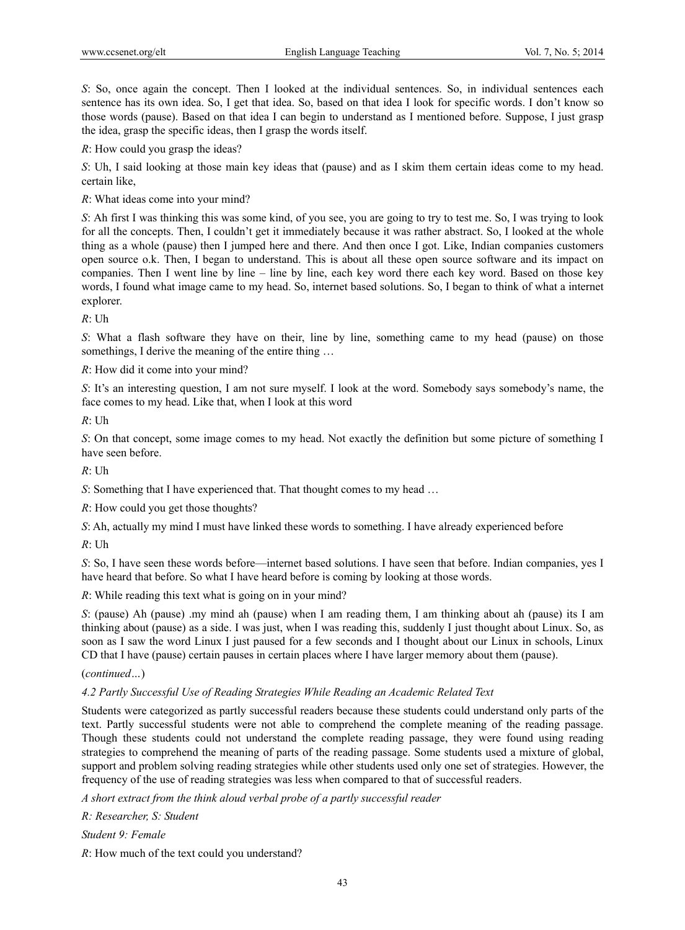*S*: So, once again the concept. Then I looked at the individual sentences. So, in individual sentences each sentence has its own idea. So, I get that idea. So, based on that idea I look for specific words. I don't know so those words (pause). Based on that idea I can begin to understand as I mentioned before. Suppose, I just grasp the idea, grasp the specific ideas, then I grasp the words itself.

*R*: How could you grasp the ideas?

*S*: Uh, I said looking at those main key ideas that (pause) and as I skim them certain ideas come to my head. certain like,

*R*: What ideas come into your mind?

*S*: Ah first I was thinking this was some kind, of you see, you are going to try to test me. So, I was trying to look for all the concepts. Then, I couldn't get it immediately because it was rather abstract. So, I looked at the whole thing as a whole (pause) then I jumped here and there. And then once I got. Like, Indian companies customers open source o.k. Then, I began to understand. This is about all these open source software and its impact on companies. Then I went line by line – line by line, each key word there each key word. Based on those key words, I found what image came to my head. So, internet based solutions. So, I began to think of what a internet explorer.

*R*: Uh

*S*: What a flash software they have on their, line by line, something came to my head (pause) on those somethings, I derive the meaning of the entire thing ...

*R*: How did it come into your mind?

*S*: It's an interesting question, I am not sure myself. I look at the word. Somebody says somebody's name, the face comes to my head. Like that, when I look at this word

 $R \cdot$  Uh

*S*: On that concept, some image comes to my head. Not exactly the definition but some picture of something I have seen before.

*R*: Uh

*S*: Something that I have experienced that. That thought comes to my head …

*R*: How could you get those thoughts?

*S*: Ah, actually my mind I must have linked these words to something. I have already experienced before

*R*: Uh

*S*: So, I have seen these words before—internet based solutions. I have seen that before. Indian companies, yes I have heard that before. So what I have heard before is coming by looking at those words.

*R*: While reading this text what is going on in your mind?

*S*: (pause) Ah (pause) .my mind ah (pause) when I am reading them, I am thinking about ah (pause) its I am thinking about (pause) as a side. I was just, when I was reading this, suddenly I just thought about Linux. So, as soon as I saw the word Linux I just paused for a few seconds and I thought about our Linux in schools, Linux CD that I have (pause) certain pauses in certain places where I have larger memory about them (pause).

(*continued…*)

*4.2 Partly Successful Use of Reading Strategies While Reading an Academic Related Text* 

Students were categorized as partly successful readers because these students could understand only parts of the text. Partly successful students were not able to comprehend the complete meaning of the reading passage. Though these students could not understand the complete reading passage, they were found using reading strategies to comprehend the meaning of parts of the reading passage. Some students used a mixture of global, support and problem solving reading strategies while other students used only one set of strategies. However, the frequency of the use of reading strategies was less when compared to that of successful readers.

*A short extract from the think aloud verbal probe of a partly successful reader* 

*R: Researcher, S: Student* 

*Student 9: Female* 

*R*: How much of the text could you understand?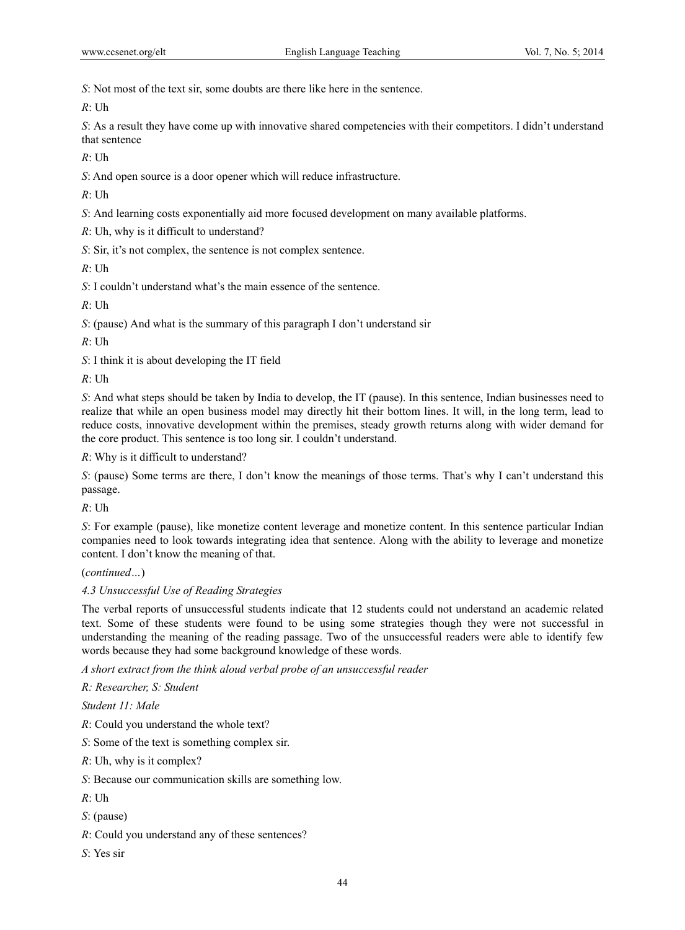*S*: Not most of the text sir, some doubts are there like here in the sentence.

*R*: Uh

*S*: As a result they have come up with innovative shared competencies with their competitors. I didn't understand that sentence

 $R \cdot$  Uh

*S*: And open source is a door opener which will reduce infrastructure.

*R*: Uh

*S*: And learning costs exponentially aid more focused development on many available platforms.

*R*: Uh, why is it difficult to understand?

*S*: Sir, it's not complex, the sentence is not complex sentence.

*R*: Uh

*S*: I couldn't understand what's the main essence of the sentence.

 $R \cdot$  Uh

*S*: (pause) And what is the summary of this paragraph I don't understand sir

 $R \cdot$  Uh

*S*: I think it is about developing the IT field

 $R \cdot$  Uh

*S*: And what steps should be taken by India to develop, the IT (pause). In this sentence, Indian businesses need to realize that while an open business model may directly hit their bottom lines. It will, in the long term, lead to reduce costs, innovative development within the premises, steady growth returns along with wider demand for the core product. This sentence is too long sir. I couldn't understand.

*R*: Why is it difficult to understand?

*S*: (pause) Some terms are there, I don't know the meanings of those terms. That's why I can't understand this passage.

*R*: Uh

*S*: For example (pause), like monetize content leverage and monetize content. In this sentence particular Indian companies need to look towards integrating idea that sentence. Along with the ability to leverage and monetize content. I don't know the meaning of that.

(*continued…*)

# *4.3 Unsuccessful Use of Reading Strategies*

The verbal reports of unsuccessful students indicate that 12 students could not understand an academic related text. Some of these students were found to be using some strategies though they were not successful in understanding the meaning of the reading passage. Two of the unsuccessful readers were able to identify few words because they had some background knowledge of these words.

*A short extract from the think aloud verbal probe of an unsuccessful reader* 

*R: Researcher, S: Student* 

*Student 11: Male* 

*R*: Could you understand the whole text?

*S*: Some of the text is something complex sir.

*R*: Uh, why is it complex?

*S*: Because our communication skills are something low.

 $R \cdot$  Uh

*S*: (pause)

- *R*: Could you understand any of these sentences?
- *S*: Yes sir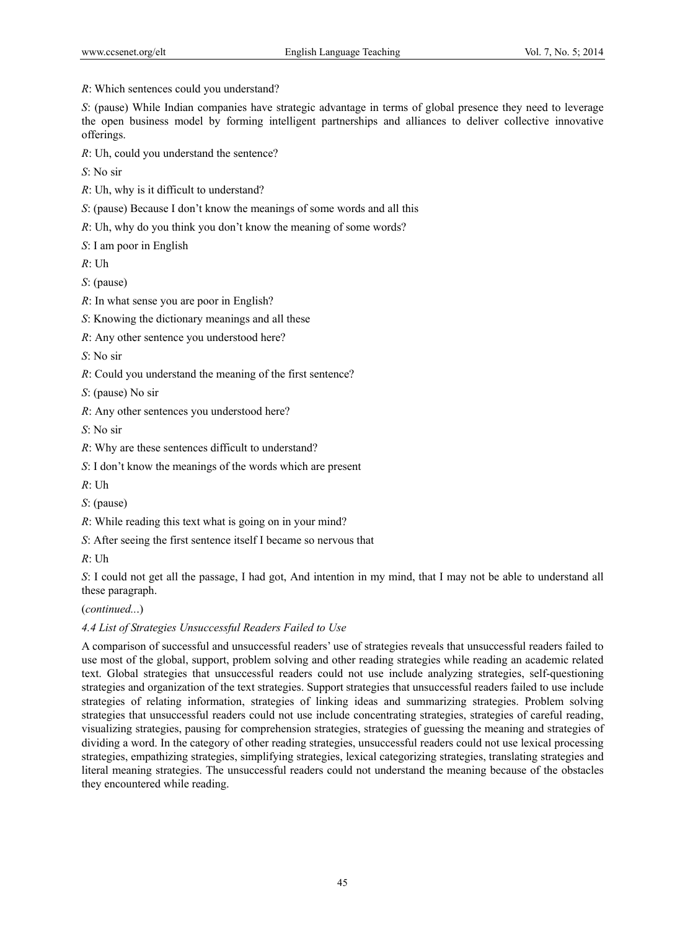*R*: Which sentences could you understand?

*S*: (pause) While Indian companies have strategic advantage in terms of global presence they need to leverage the open business model by forming intelligent partnerships and alliances to deliver collective innovative offerings.

*R*: Uh, could you understand the sentence?

*S*: No sir

- *R*: Uh, why is it difficult to understand?
- *S*: (pause) Because I don't know the meanings of some words and all this
- *R*: Uh, why do you think you don't know the meaning of some words?
- *S*: I am poor in English

*R*: Uh

*S*: (pause)

- *R*: In what sense you are poor in English?
- *S*: Knowing the dictionary meanings and all these
- *R*: Any other sentence you understood here?

*S*: No sir

*R*: Could you understand the meaning of the first sentence?

*S*: (pause) No sir

*R*: Any other sentences you understood here?

*S*: No sir

- *R*: Why are these sentences difficult to understand?
- *S*: I don't know the meanings of the words which are present
- *R*: Uh
- *S*: (pause)
- *R*: While reading this text what is going on in your mind?
- *S*: After seeing the first sentence itself I became so nervous that
- *R*: Uh

*S*: I could not get all the passage, I had got, And intention in my mind, that I may not be able to understand all these paragraph.

# (*continued..*.)

# *4.4 List of Strategies Unsuccessful Readers Failed to Use*

A comparison of successful and unsuccessful readers' use of strategies reveals that unsuccessful readers failed to use most of the global, support, problem solving and other reading strategies while reading an academic related text. Global strategies that unsuccessful readers could not use include analyzing strategies, self-questioning strategies and organization of the text strategies. Support strategies that unsuccessful readers failed to use include strategies of relating information, strategies of linking ideas and summarizing strategies. Problem solving strategies that unsuccessful readers could not use include concentrating strategies, strategies of careful reading, visualizing strategies, pausing for comprehension strategies, strategies of guessing the meaning and strategies of dividing a word. In the category of other reading strategies, unsuccessful readers could not use lexical processing strategies, empathizing strategies, simplifying strategies, lexical categorizing strategies, translating strategies and literal meaning strategies. The unsuccessful readers could not understand the meaning because of the obstacles they encountered while reading.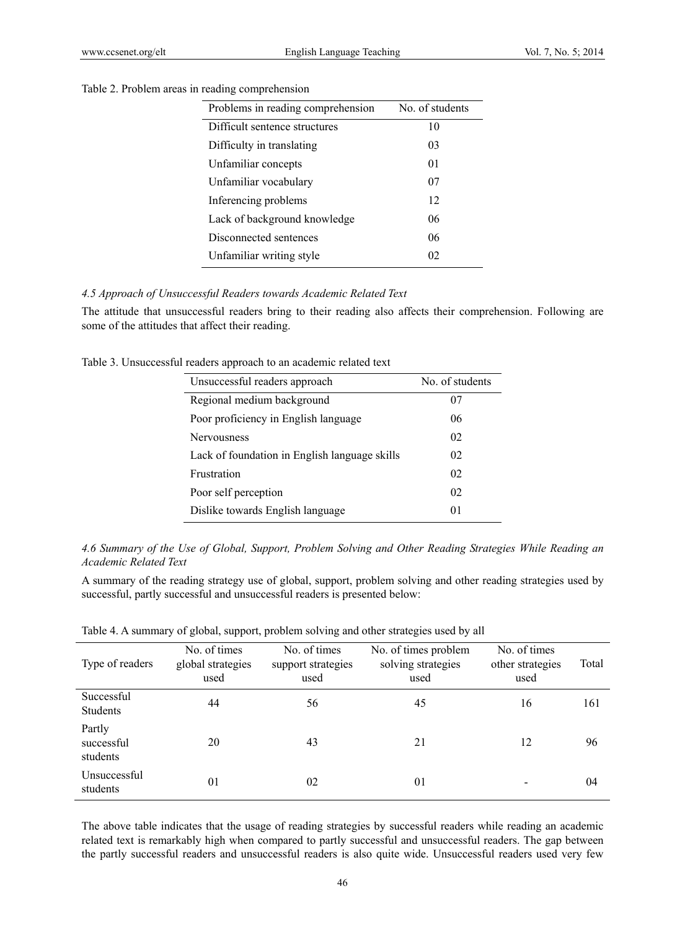# Table 2. Problem areas in reading comprehension

 $\overline{a}$ 

| Problems in reading comprehension | No. of students |
|-----------------------------------|-----------------|
| Difficult sentence structures     | 10              |
| Difficulty in translating         | 03              |
| Unfamiliar concepts               | 01              |
| Unfamiliar vocabulary             | 07              |
| Inferencing problems              | 12              |
| Lack of background knowledge      | 06              |
| Disconnected sentences            | 06              |
| Unfamiliar writing style          | 02              |

# *4.5 Approach of Unsuccessful Readers towards Academic Related Text*

The attitude that unsuccessful readers bring to their reading also affects their comprehension. Following are some of the attitudes that affect their reading.

|  | Table 3. Unsuccessful readers approach to an academic related text |  |  |
|--|--------------------------------------------------------------------|--|--|
|  |                                                                    |  |  |

| Unsuccessful readers approach                 | No. of students |
|-----------------------------------------------|-----------------|
| Regional medium background                    | 07              |
| Poor proficiency in English language          | 06              |
| <b>Nervousness</b>                            | 02              |
| Lack of foundation in English language skills | 02              |
| Frustration                                   | 02              |
| Poor self perception                          | 02              |
| Dislike towards English language              | 01              |

*4.6 Summary of the Use of Global, Support, Problem Solving and Other Reading Strategies While Reading an Academic Related Text* 

A summary of the reading strategy use of global, support, problem solving and other reading strategies used by successful, partly successful and unsuccessful readers is presented below:

| Type of readers                  | No. of times<br>global strategies<br>used | No. of times<br>support strategies<br>used | No. of times problem<br>solving strategies<br>used | No. of times<br>other strategies<br>used | Total |
|----------------------------------|-------------------------------------------|--------------------------------------------|----------------------------------------------------|------------------------------------------|-------|
| Successful<br><b>Students</b>    | 44                                        | 56                                         | 45                                                 | 16                                       | 161   |
| Partly<br>successful<br>students | 20                                        | 43                                         | 21                                                 | 12                                       | 96    |
| Unsuccessful<br>students         | 01                                        | 02                                         | 01                                                 |                                          | 04    |

Table 4. A summary of global, support, problem solving and other strategies used by all

The above table indicates that the usage of reading strategies by successful readers while reading an academic related text is remarkably high when compared to partly successful and unsuccessful readers. The gap between the partly successful readers and unsuccessful readers is also quite wide. Unsuccessful readers used very few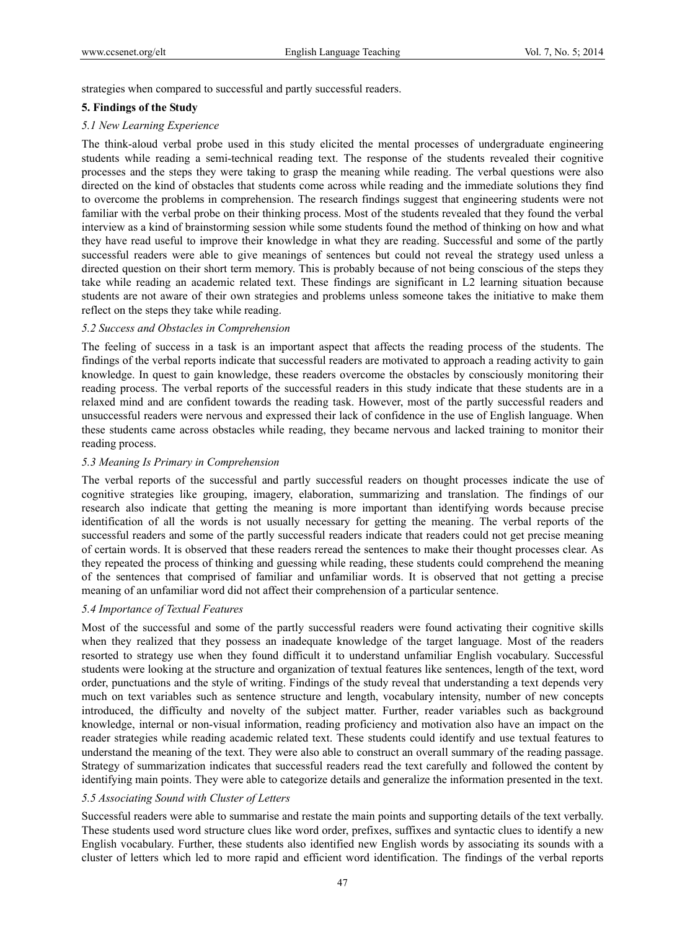strategies when compared to successful and partly successful readers.

## **5. Findings of the Study**

## *5.1 New Learning Experience*

The think-aloud verbal probe used in this study elicited the mental processes of undergraduate engineering students while reading a semi-technical reading text. The response of the students revealed their cognitive processes and the steps they were taking to grasp the meaning while reading. The verbal questions were also directed on the kind of obstacles that students come across while reading and the immediate solutions they find to overcome the problems in comprehension. The research findings suggest that engineering students were not familiar with the verbal probe on their thinking process. Most of the students revealed that they found the verbal interview as a kind of brainstorming session while some students found the method of thinking on how and what they have read useful to improve their knowledge in what they are reading. Successful and some of the partly successful readers were able to give meanings of sentences but could not reveal the strategy used unless a directed question on their short term memory. This is probably because of not being conscious of the steps they take while reading an academic related text. These findings are significant in L2 learning situation because students are not aware of their own strategies and problems unless someone takes the initiative to make them reflect on the steps they take while reading.

## *5.2 Success and Obstacles in Comprehension*

The feeling of success in a task is an important aspect that affects the reading process of the students. The findings of the verbal reports indicate that successful readers are motivated to approach a reading activity to gain knowledge. In quest to gain knowledge, these readers overcome the obstacles by consciously monitoring their reading process. The verbal reports of the successful readers in this study indicate that these students are in a relaxed mind and are confident towards the reading task. However, most of the partly successful readers and unsuccessful readers were nervous and expressed their lack of confidence in the use of English language. When these students came across obstacles while reading, they became nervous and lacked training to monitor their reading process.

## *5.3 Meaning Is Primary in Comprehension*

The verbal reports of the successful and partly successful readers on thought processes indicate the use of cognitive strategies like grouping, imagery, elaboration, summarizing and translation. The findings of our research also indicate that getting the meaning is more important than identifying words because precise identification of all the words is not usually necessary for getting the meaning. The verbal reports of the successful readers and some of the partly successful readers indicate that readers could not get precise meaning of certain words. It is observed that these readers reread the sentences to make their thought processes clear. As they repeated the process of thinking and guessing while reading, these students could comprehend the meaning of the sentences that comprised of familiar and unfamiliar words. It is observed that not getting a precise meaning of an unfamiliar word did not affect their comprehension of a particular sentence.

# *5.4 Importance of Textual Features*

Most of the successful and some of the partly successful readers were found activating their cognitive skills when they realized that they possess an inadequate knowledge of the target language. Most of the readers resorted to strategy use when they found difficult it to understand unfamiliar English vocabulary. Successful students were looking at the structure and organization of textual features like sentences, length of the text, word order, punctuations and the style of writing. Findings of the study reveal that understanding a text depends very much on text variables such as sentence structure and length, vocabulary intensity, number of new concepts introduced, the difficulty and novelty of the subject matter. Further, reader variables such as background knowledge, internal or non-visual information, reading proficiency and motivation also have an impact on the reader strategies while reading academic related text. These students could identify and use textual features to understand the meaning of the text. They were also able to construct an overall summary of the reading passage. Strategy of summarization indicates that successful readers read the text carefully and followed the content by identifying main points. They were able to categorize details and generalize the information presented in the text.

# *5.5 Associating Sound with Cluster of Letters*

Successful readers were able to summarise and restate the main points and supporting details of the text verbally. These students used word structure clues like word order, prefixes, suffixes and syntactic clues to identify a new English vocabulary. Further, these students also identified new English words by associating its sounds with a cluster of letters which led to more rapid and efficient word identification. The findings of the verbal reports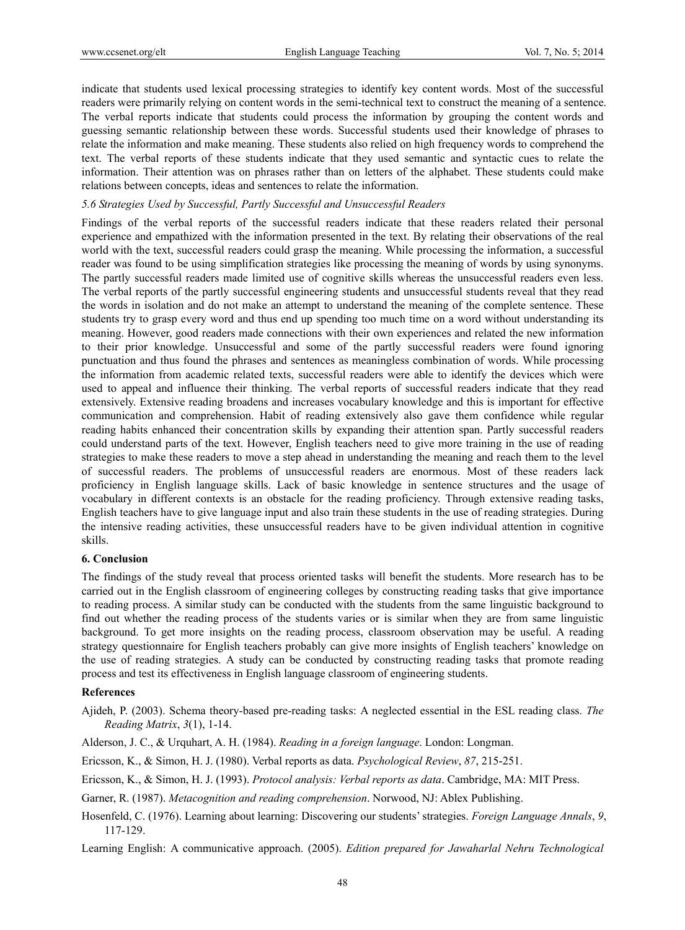indicate that students used lexical processing strategies to identify key content words. Most of the successful readers were primarily relying on content words in the semi-technical text to construct the meaning of a sentence. The verbal reports indicate that students could process the information by grouping the content words and guessing semantic relationship between these words. Successful students used their knowledge of phrases to relate the information and make meaning. These students also relied on high frequency words to comprehend the text. The verbal reports of these students indicate that they used semantic and syntactic cues to relate the information. Their attention was on phrases rather than on letters of the alphabet. These students could make relations between concepts, ideas and sentences to relate the information.

## *5.6 Strategies Used by Successful, Partly Successful and Unsuccessful Readers*

Findings of the verbal reports of the successful readers indicate that these readers related their personal experience and empathized with the information presented in the text. By relating their observations of the real world with the text, successful readers could grasp the meaning. While processing the information, a successful reader was found to be using simplification strategies like processing the meaning of words by using synonyms. The partly successful readers made limited use of cognitive skills whereas the unsuccessful readers even less. The verbal reports of the partly successful engineering students and unsuccessful students reveal that they read the words in isolation and do not make an attempt to understand the meaning of the complete sentence. These students try to grasp every word and thus end up spending too much time on a word without understanding its meaning. However, good readers made connections with their own experiences and related the new information to their prior knowledge. Unsuccessful and some of the partly successful readers were found ignoring punctuation and thus found the phrases and sentences as meaningless combination of words. While processing the information from academic related texts, successful readers were able to identify the devices which were used to appeal and influence their thinking. The verbal reports of successful readers indicate that they read extensively. Extensive reading broadens and increases vocabulary knowledge and this is important for effective communication and comprehension. Habit of reading extensively also gave them confidence while regular reading habits enhanced their concentration skills by expanding their attention span. Partly successful readers could understand parts of the text. However, English teachers need to give more training in the use of reading strategies to make these readers to move a step ahead in understanding the meaning and reach them to the level of successful readers. The problems of unsuccessful readers are enormous. Most of these readers lack proficiency in English language skills. Lack of basic knowledge in sentence structures and the usage of vocabulary in different contexts is an obstacle for the reading proficiency. Through extensive reading tasks, English teachers have to give language input and also train these students in the use of reading strategies. During the intensive reading activities, these unsuccessful readers have to be given individual attention in cognitive skills.

## **6. Conclusion**

The findings of the study reveal that process oriented tasks will benefit the students. More research has to be carried out in the English classroom of engineering colleges by constructing reading tasks that give importance to reading process. A similar study can be conducted with the students from the same linguistic background to find out whether the reading process of the students varies or is similar when they are from same linguistic background. To get more insights on the reading process, classroom observation may be useful. A reading strategy questionnaire for English teachers probably can give more insights of English teachers' knowledge on the use of reading strategies. A study can be conducted by constructing reading tasks that promote reading process and test its effectiveness in English language classroom of engineering students.

## **References**

- Ajideh, P. (2003). Schema theory-based pre-reading tasks: A neglected essential in the ESL reading class. *The Reading Matrix*, *3*(1), 1-14.
- Alderson, J. C., & Urquhart, A. H. (1984). *Reading in a foreign language*. London: Longman.
- Ericsson, K., & Simon, H. J. (1980). Verbal reports as data. *Psychological Review*, *87*, 215-251.
- Ericsson, K., & Simon, H. J. (1993). *Protocol analysis: Verbal reports as data*. Cambridge, MA: MIT Press.
- Garner, R. (1987). *Metacognition and reading comprehension*. Norwood, NJ: Ablex Publishing.
- Hosenfeld, C. (1976). Learning about learning: Discovering our students' strategies. *Foreign Language Annals*, *9*, 117-129.
- Learning English: A communicative approach. (2005). *Edition prepared for Jawaharlal Nehru Technological*